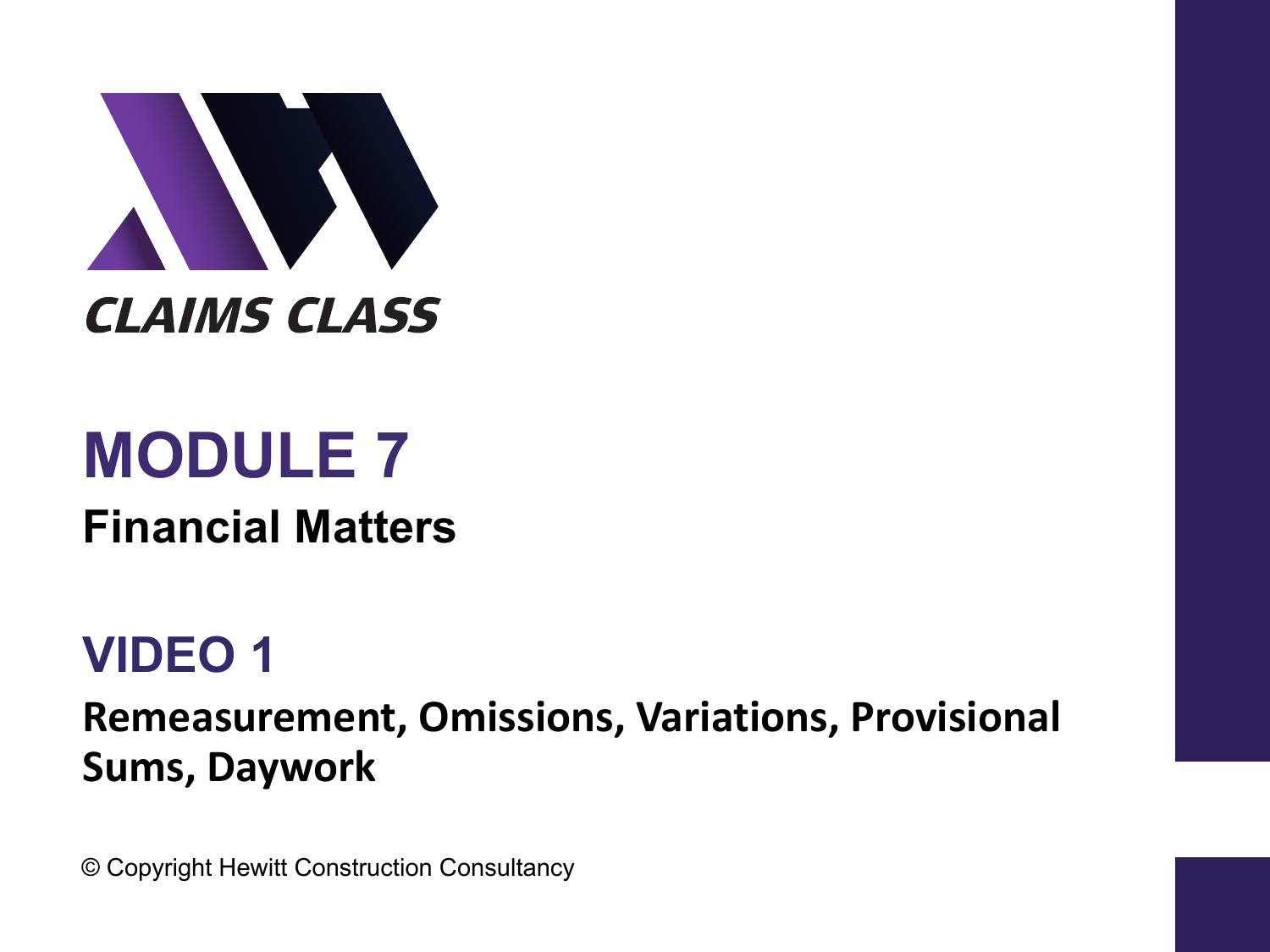

# **MODULE 7**

**Financial Matters**

#### **VIDEO 1**

**Remeasurement, Omissions, Variations, Provisional Sums, Daywork** 

© Copyright Hewitt Construction Consultancy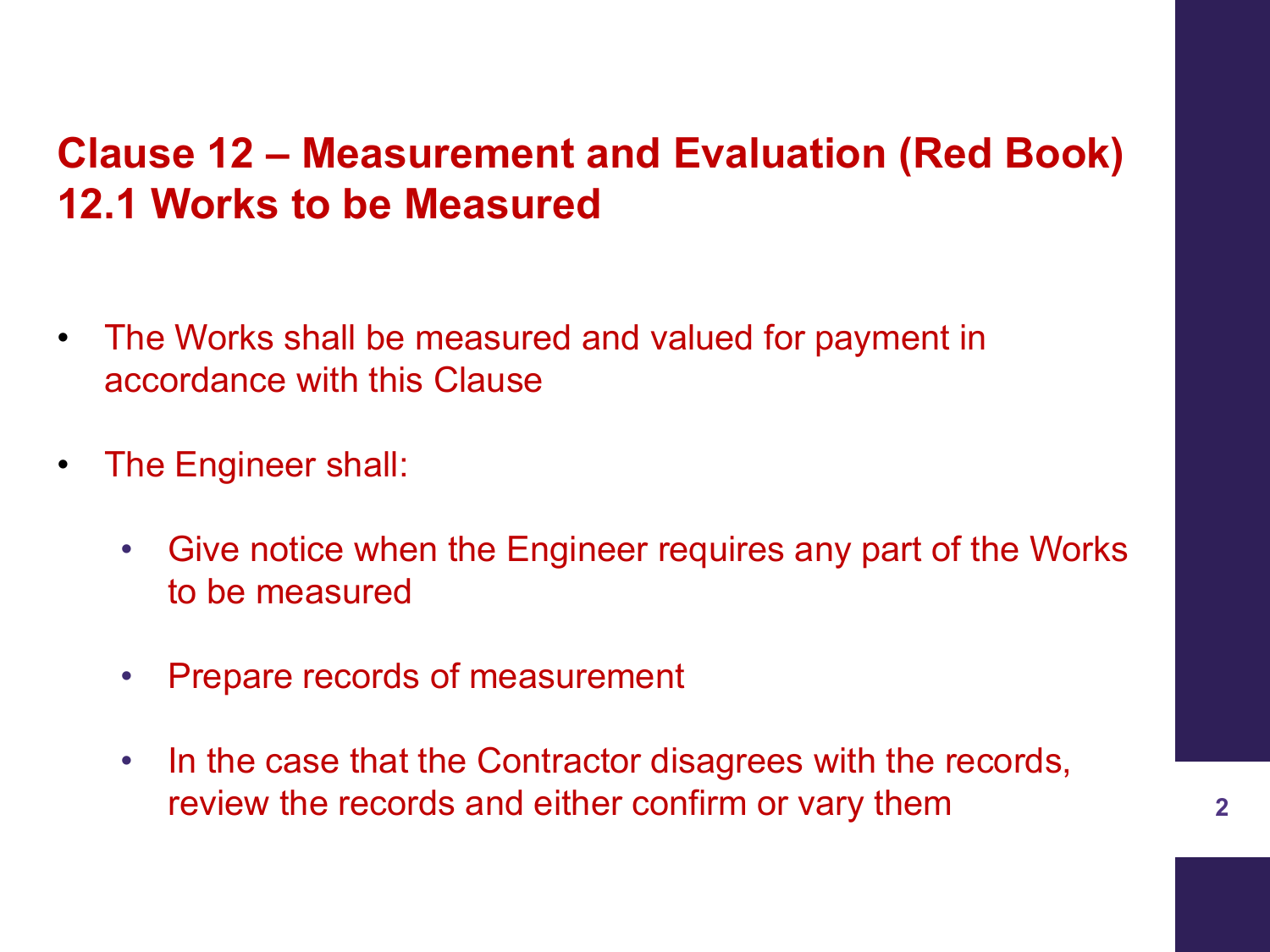#### **Clause 12 – Measurement and Evaluation (Red Book) 12.1 Works to be Measured**

- The Works shall be measured and valued for payment in accordance with this Clause
- The Engineer shall:
	- Give notice when the Engineer requires any part of the Works to be measured
	- Prepare records of measurement
	- In the case that the Contractor disagrees with the records, review the records and either confirm or vary them **<sup>2</sup>**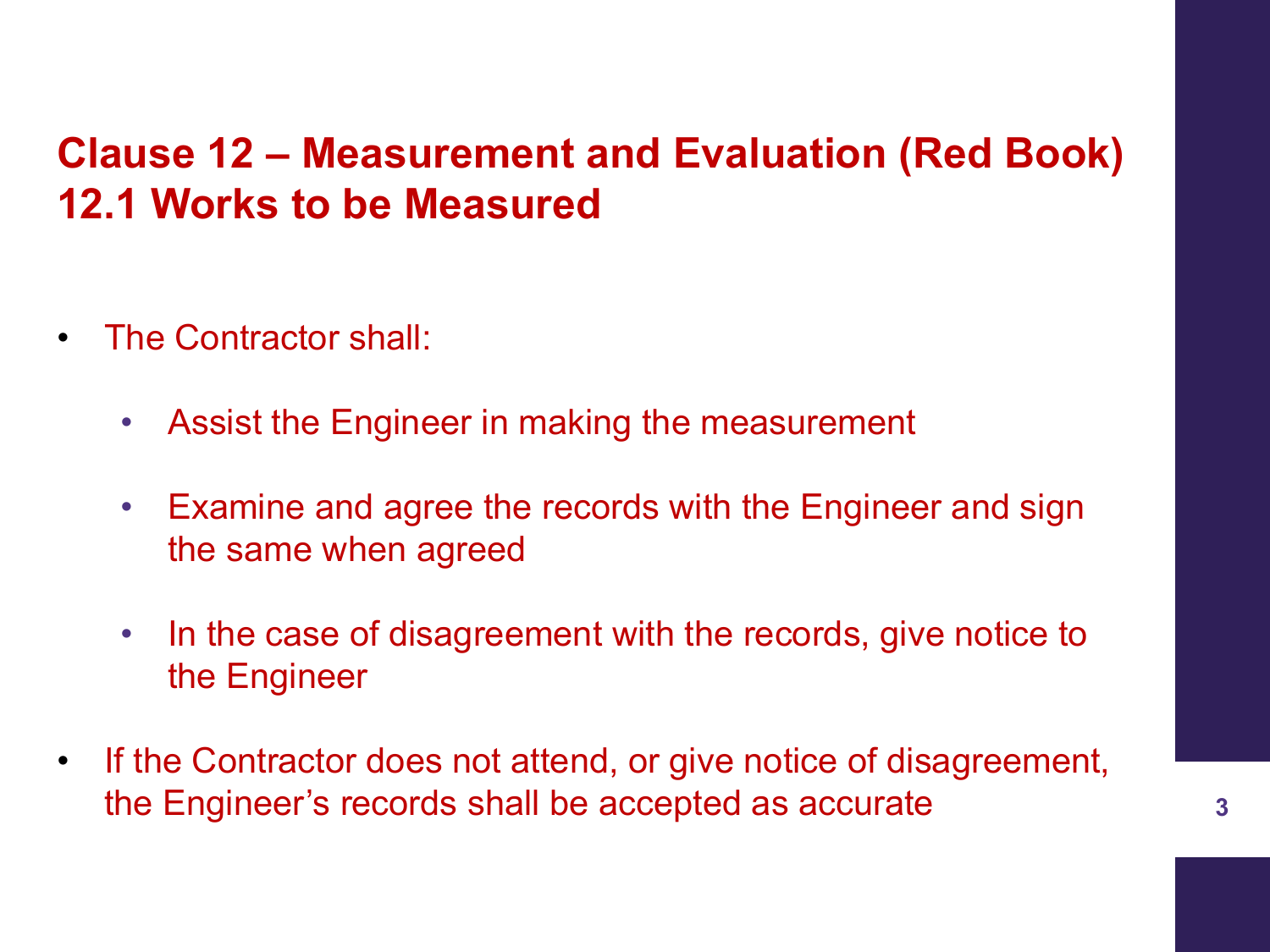#### **Clause 12 – Measurement and Evaluation (Red Book) 12.1 Works to be Measured**

- The Contractor shall:
	- Assist the Engineer in making the measurement
	- Examine and agree the records with the Engineer and sign the same when agreed
	- In the case of disagreement with the records, give notice to the Engineer
- If the Contractor does not attend, or give notice of disagreement, the Engineer's records shall be accepted as accurate **3**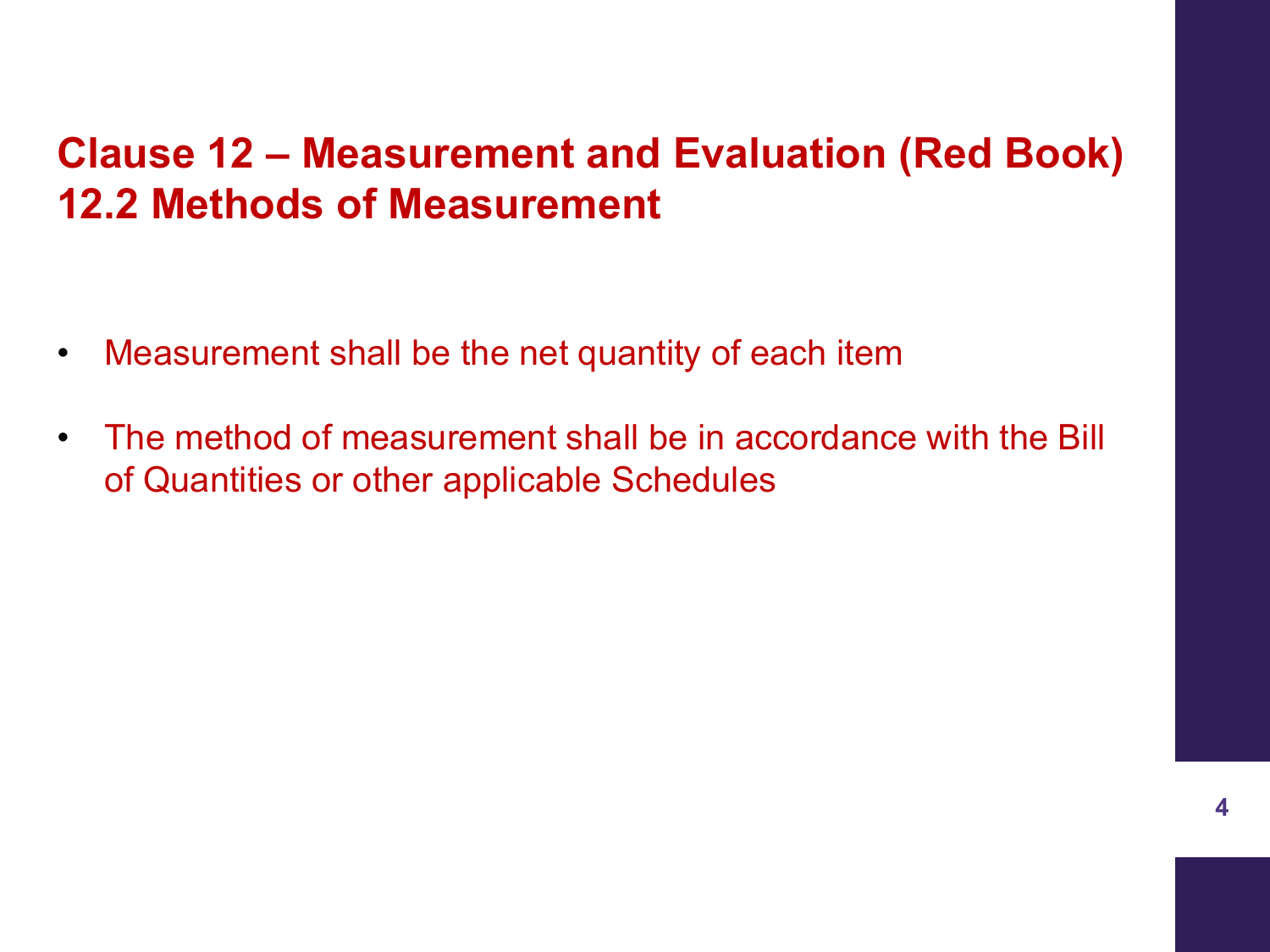#### **Clause 12 – Measurement and Evaluation (Red Book) 12.2 Methods of Measurement**

- Measurement shall be the net quantity of each item
- The method of measurement shall be in accordance with the Bill of Quantities or other applicable Schedules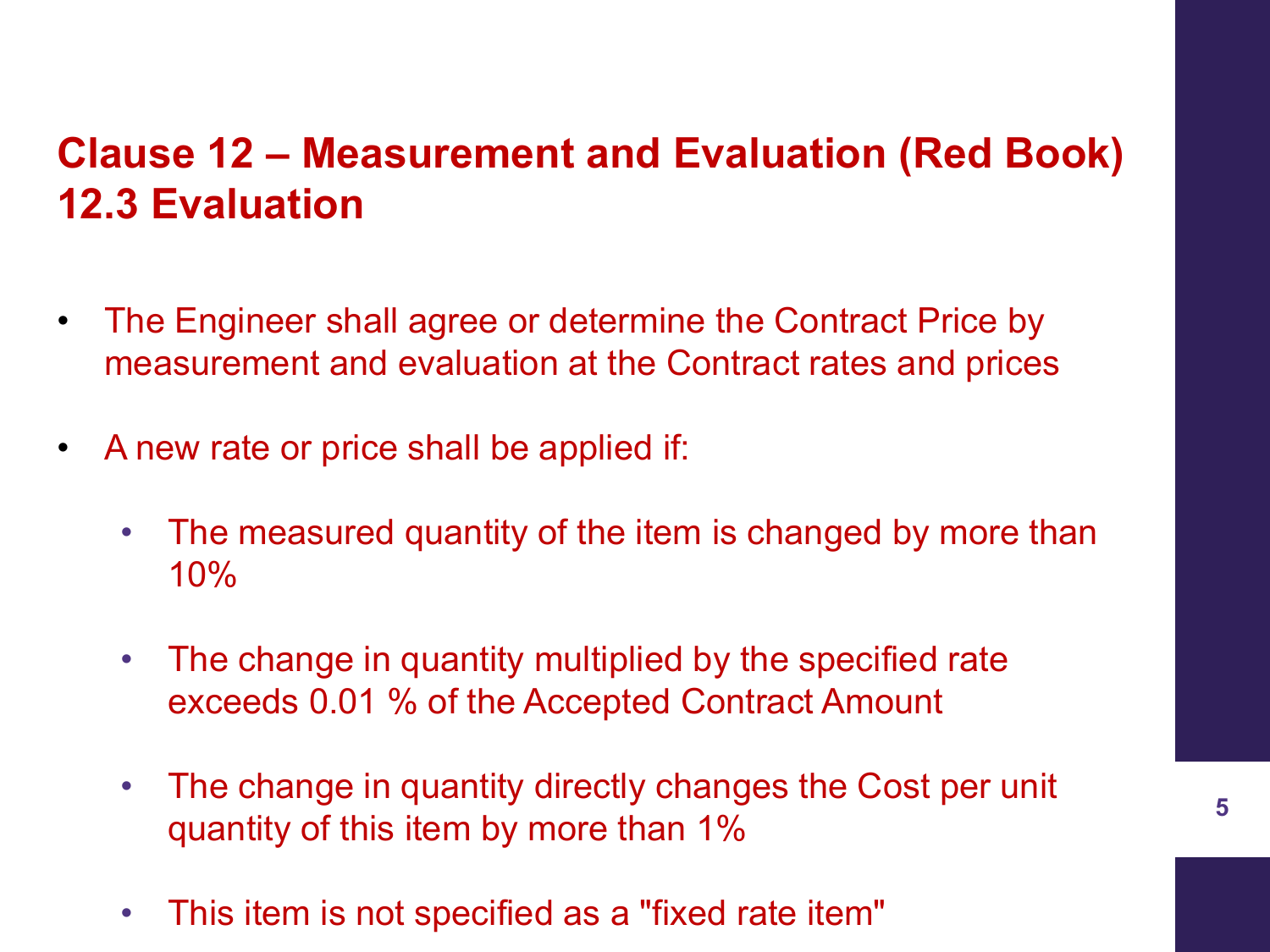#### **Clause 12 – Measurement and Evaluation (Red Book) 12.3 Evaluation**

- The Engineer shall agree or determine the Contract Price by measurement and evaluation at the Contract rates and prices
- A new rate or price shall be applied if:
	- The measured quantity of the item is changed by more than 10%
	- The change in quantity multiplied by the specified rate exceeds 0.01 % of the Accepted Contract Amount
	- The change in quantity directly changes the Cost per unit quantity of this item by more than 1%
	- This item is not specified as a "fixed rate item"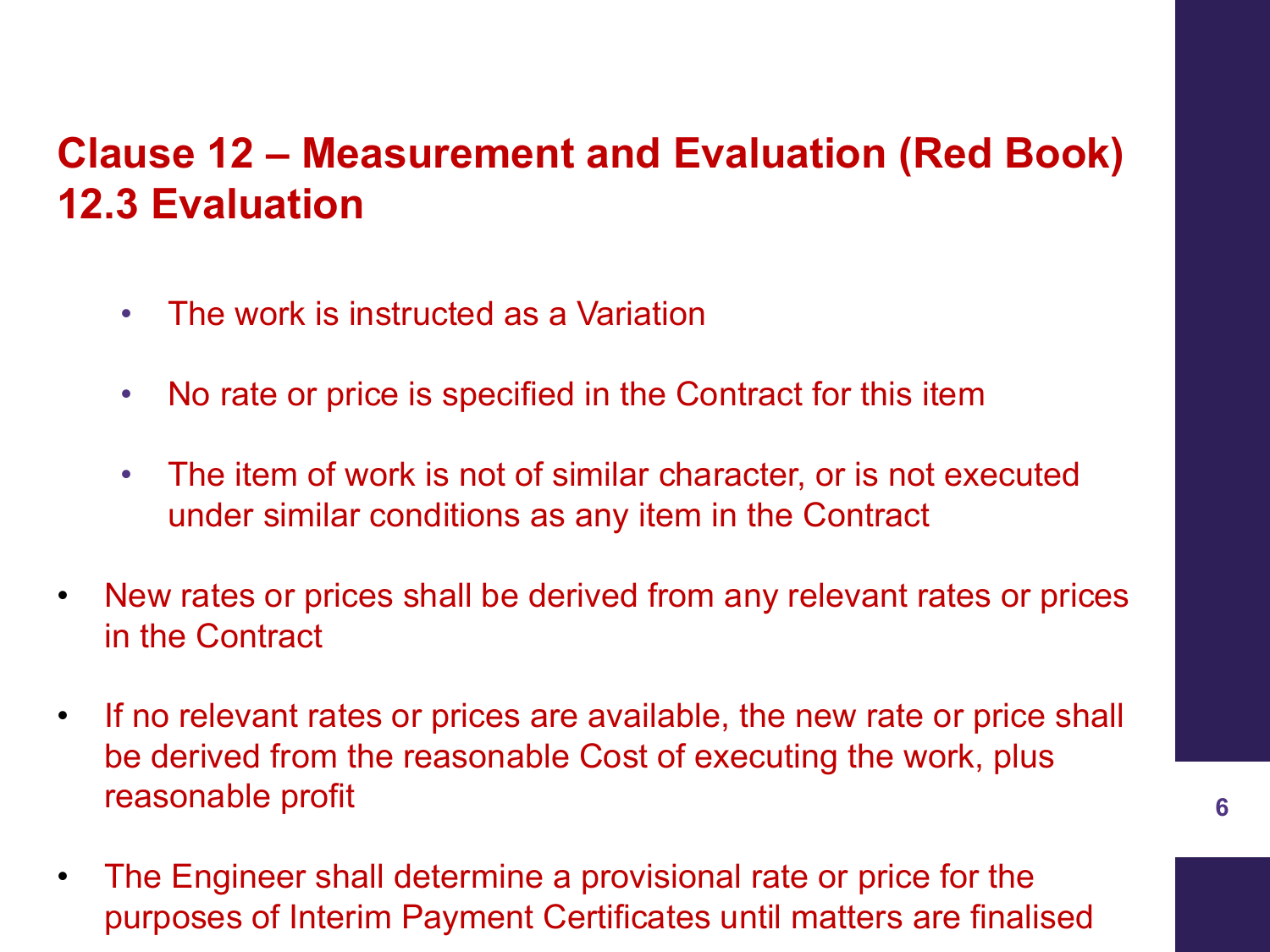#### **Clause 12 – Measurement and Evaluation (Red Book) 12.3 Evaluation**

- The work is instructed as a Variation
- No rate or price is specified in the Contract for this item
- The item of work is not of similar character, or is not executed under similar conditions as any item in the Contract
- New rates or prices shall be derived from any relevant rates or prices in the Contract
- If no relevant rates or prices are available, the new rate or price shall be derived from the reasonable Cost of executing the work, plus reasonable profit
- The Engineer shall determine a provisional rate or price for the purposes of Interim Payment Certificates until matters are finalised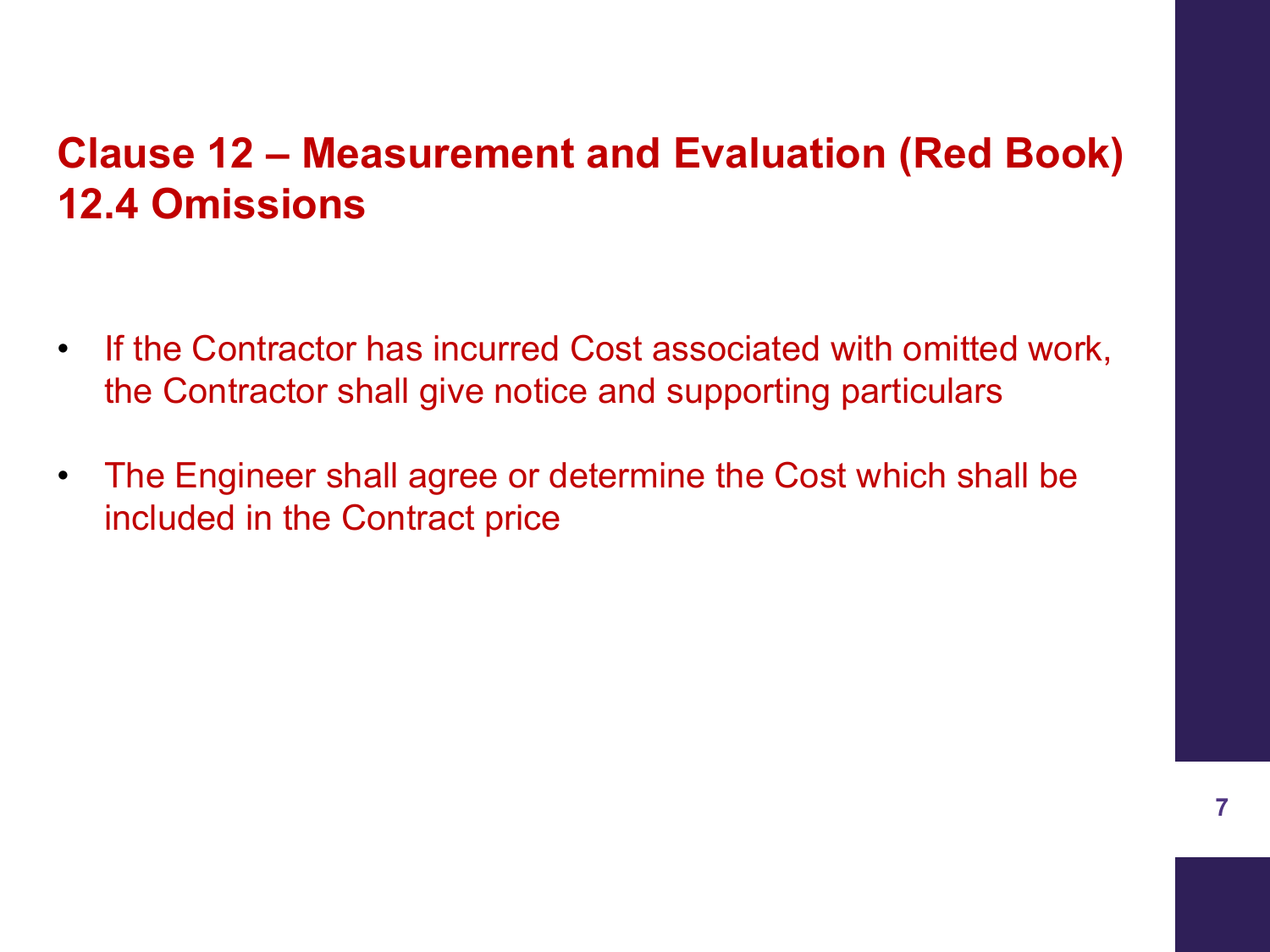#### **Clause 12 – Measurement and Evaluation (Red Book) 12.4 Omissions**

- If the Contractor has incurred Cost associated with omitted work, the Contractor shall give notice and supporting particulars
- The Engineer shall agree or determine the Cost which shall be included in the Contract price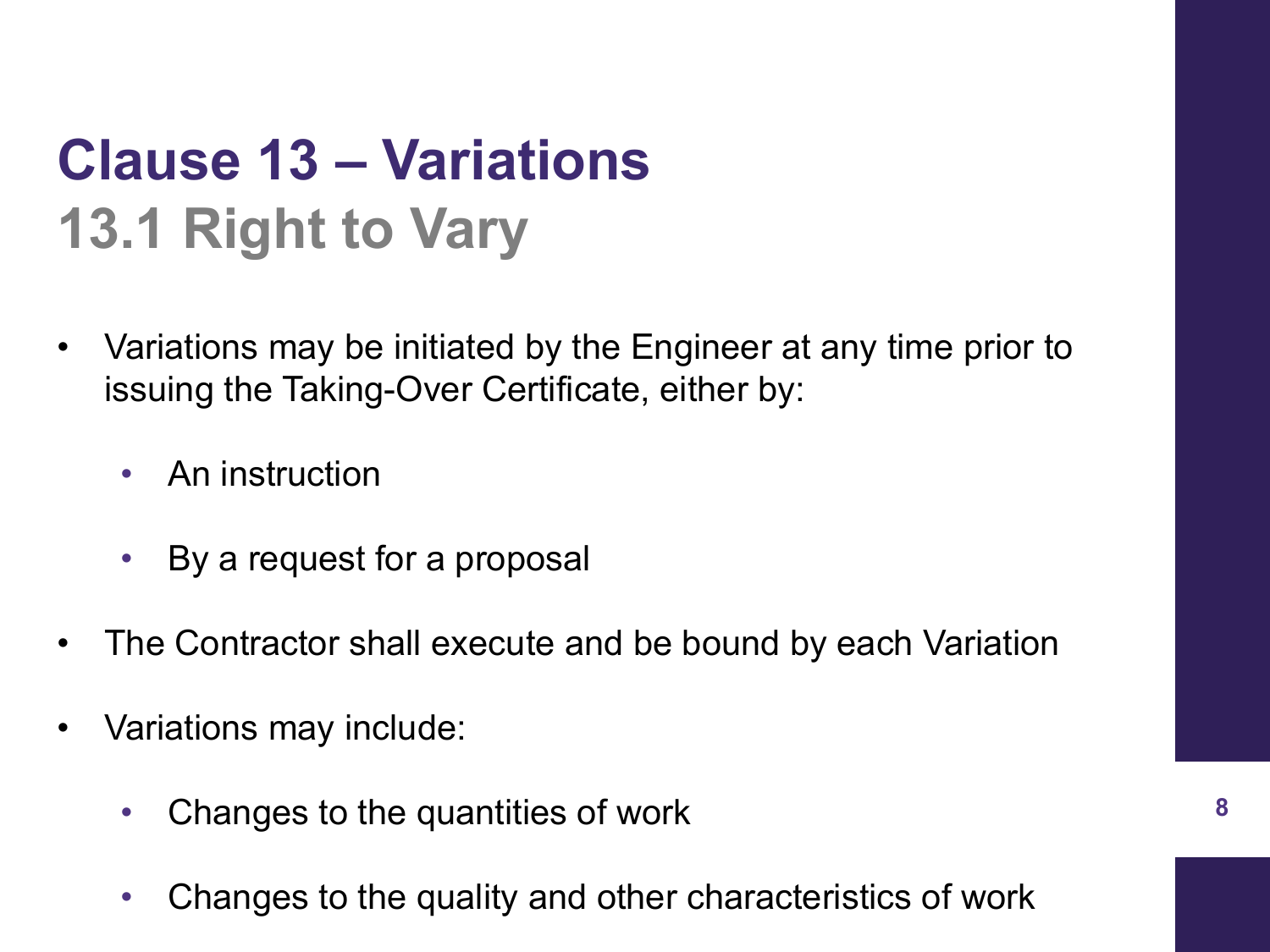### **Clause 13 – Variations 13.1 Right to Vary**

- Variations may be initiated by the Engineer at any time prior to issuing the Taking-Over Certificate, either by:
	- An instruction
	- By a request for a proposal
- The Contractor shall execute and be bound by each Variation
- Variations may include:
	- Changes to the quantities of work
	- Changes to the quality and other characteristics of work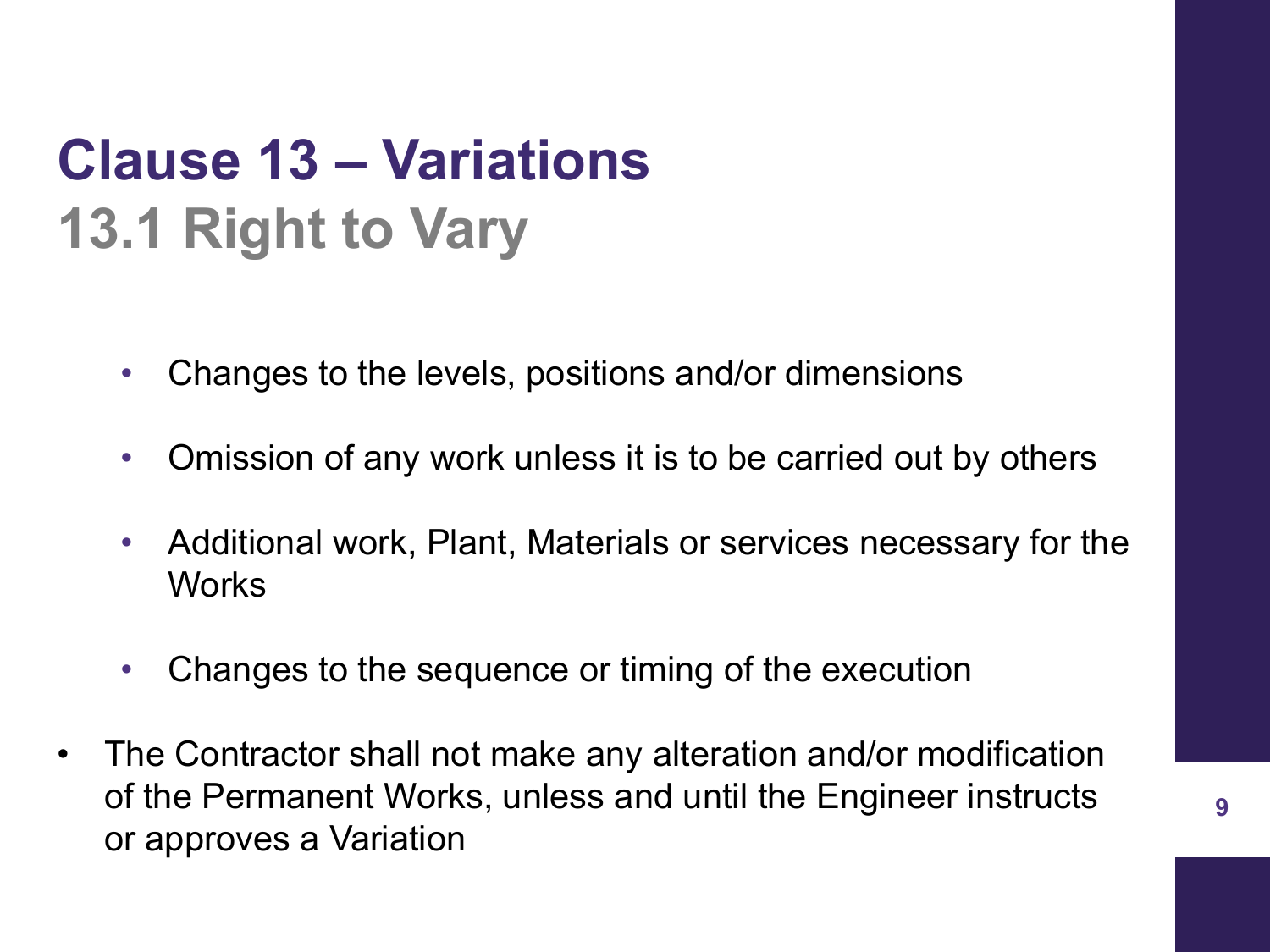### **Clause 13 – Variations 13.1 Right to Vary**

- Changes to the levels, positions and/or dimensions
- Omission of any work unless it is to be carried out by others
- Additional work, Plant, Materials or services necessary for the **Works**
- Changes to the sequence or timing of the execution
- The Contractor shall not make any alteration and/or modification of the Permanent Works, unless and until the Engineer instructs or approves a Variation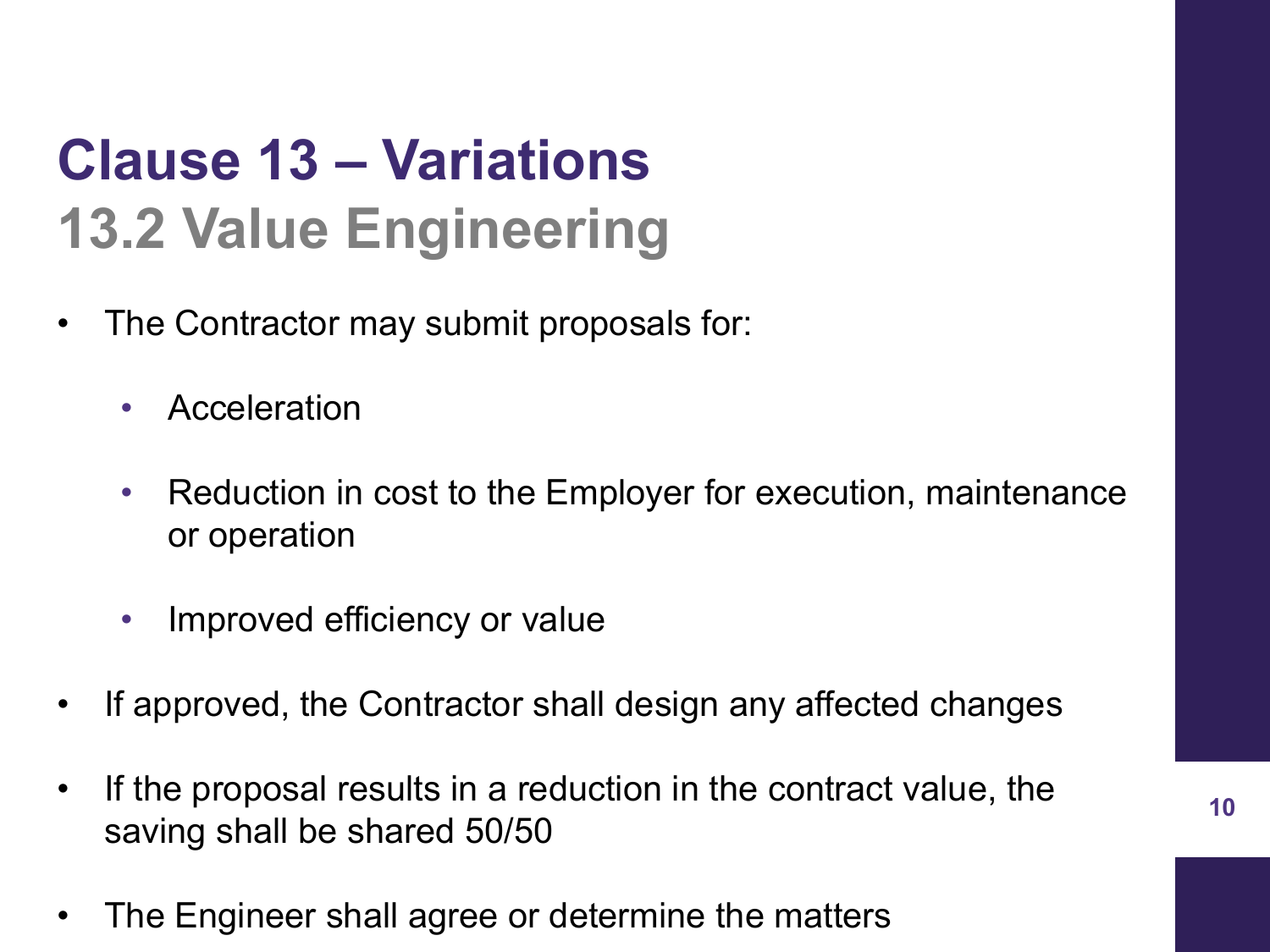### **Clause 13 – Variations 13.2 Value Engineering**

- The Contractor may submit proposals for:
	- Acceleration
	- Reduction in cost to the Employer for execution, maintenance or operation
	- Improved efficiency or value
- If approved, the Contractor shall design any affected changes
- If the proposal results in a reduction in the contract value, the saving shall be shared 50/50
- The Engineer shall agree or determine the matters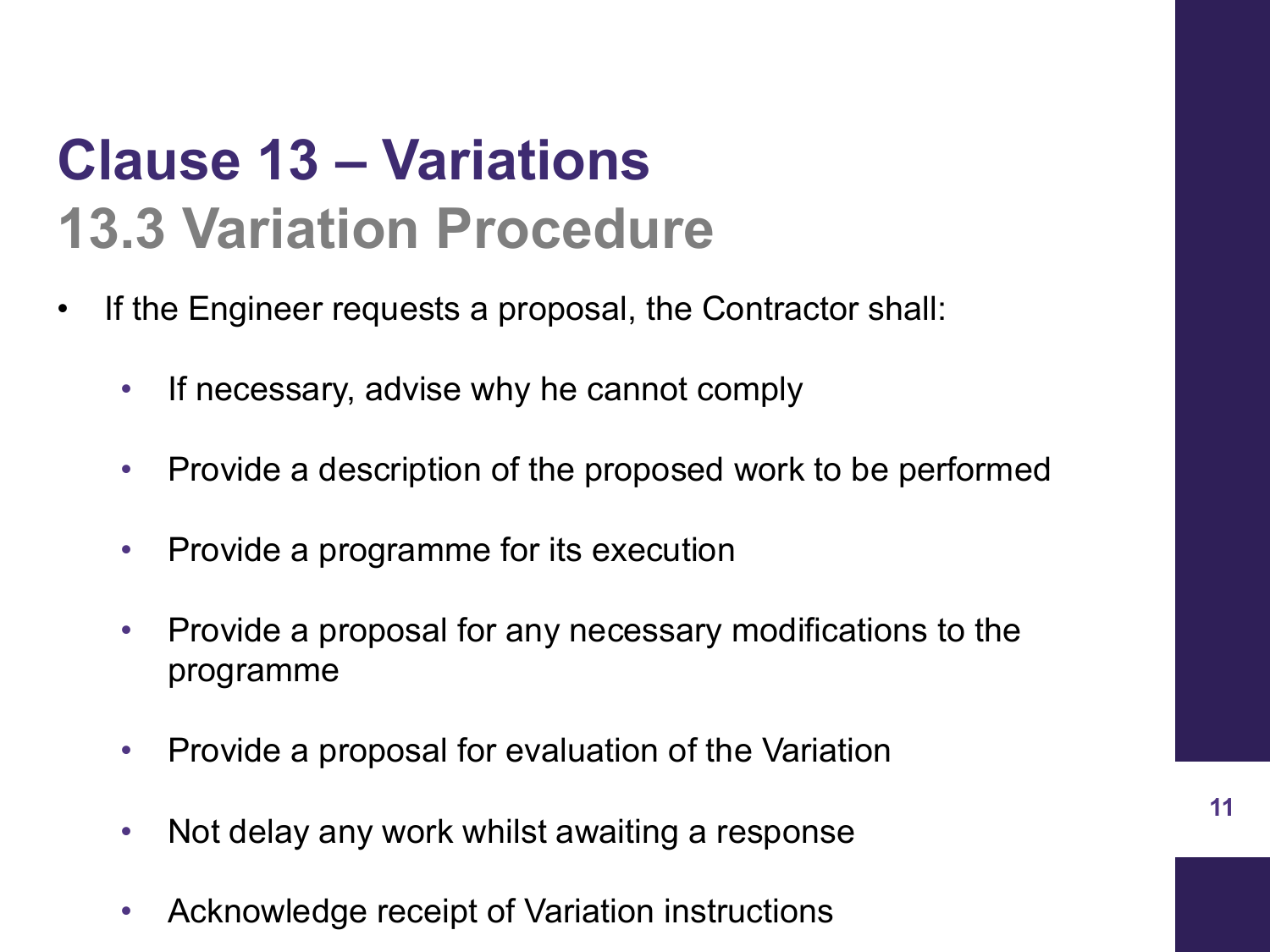#### **Clause 13 – Variations 13.3 Variation Procedure**

- If the Engineer requests a proposal, the Contractor shall:
	- If necessary, advise why he cannot comply
	- Provide a description of the proposed work to be performed
	- Provide a programme for its execution
	- Provide a proposal for any necessary modifications to the programme
	- Provide a proposal for evaluation of the Variation
	- Not delay any work whilst awaiting a response
	- Acknowledge receipt of Variation instructions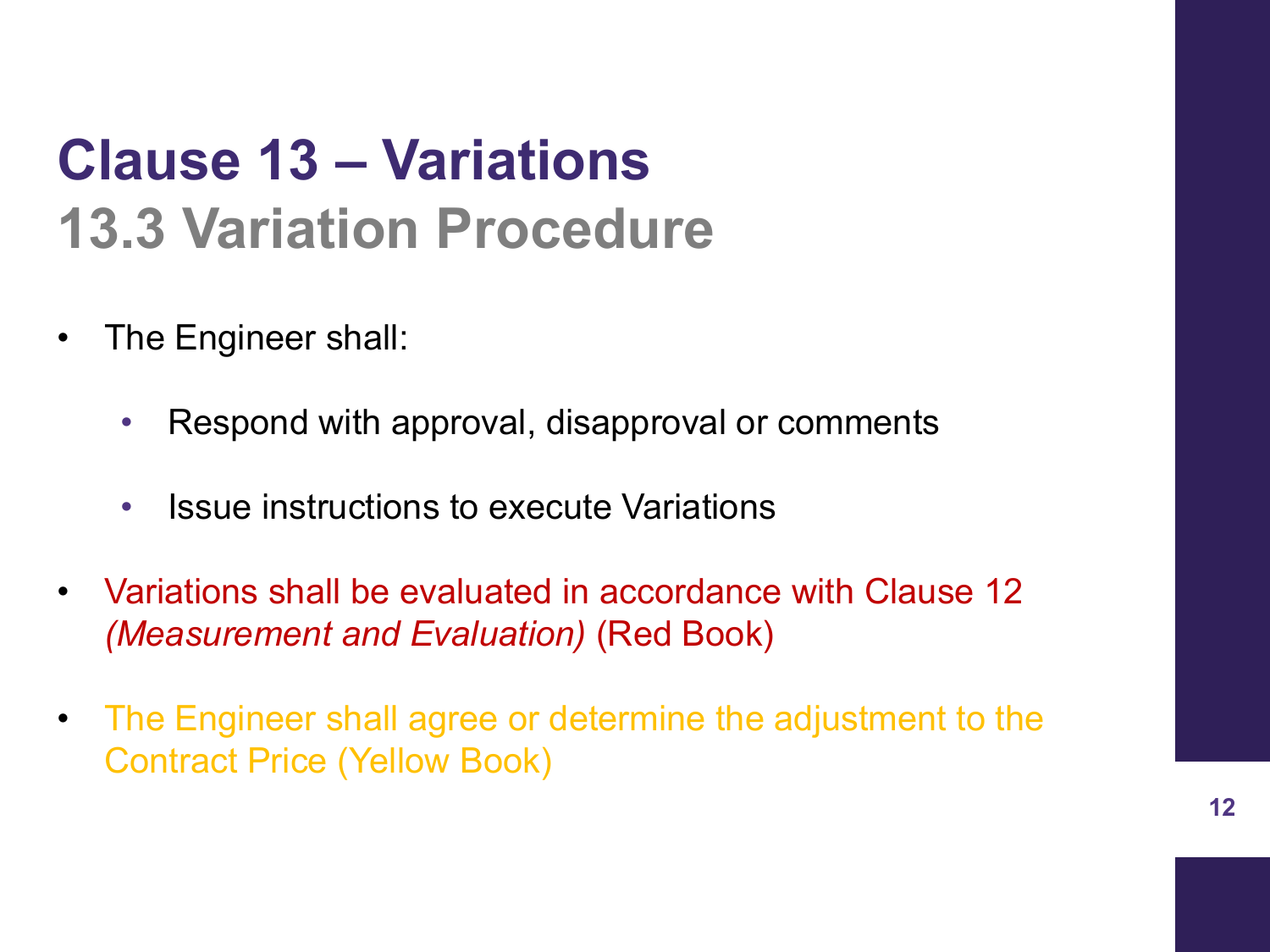### **Clause 13 – Variations 13.3 Variation Procedure**

- The Engineer shall:
	- Respond with approval, disapproval or comments
	- Issue instructions to execute Variations
- Variations shall be evaluated in accordance with Clause 12 *(Measurement and Evaluation)* (Red Book)
- The Engineer shall agree or determine the adjustment to the Contract Price (Yellow Book)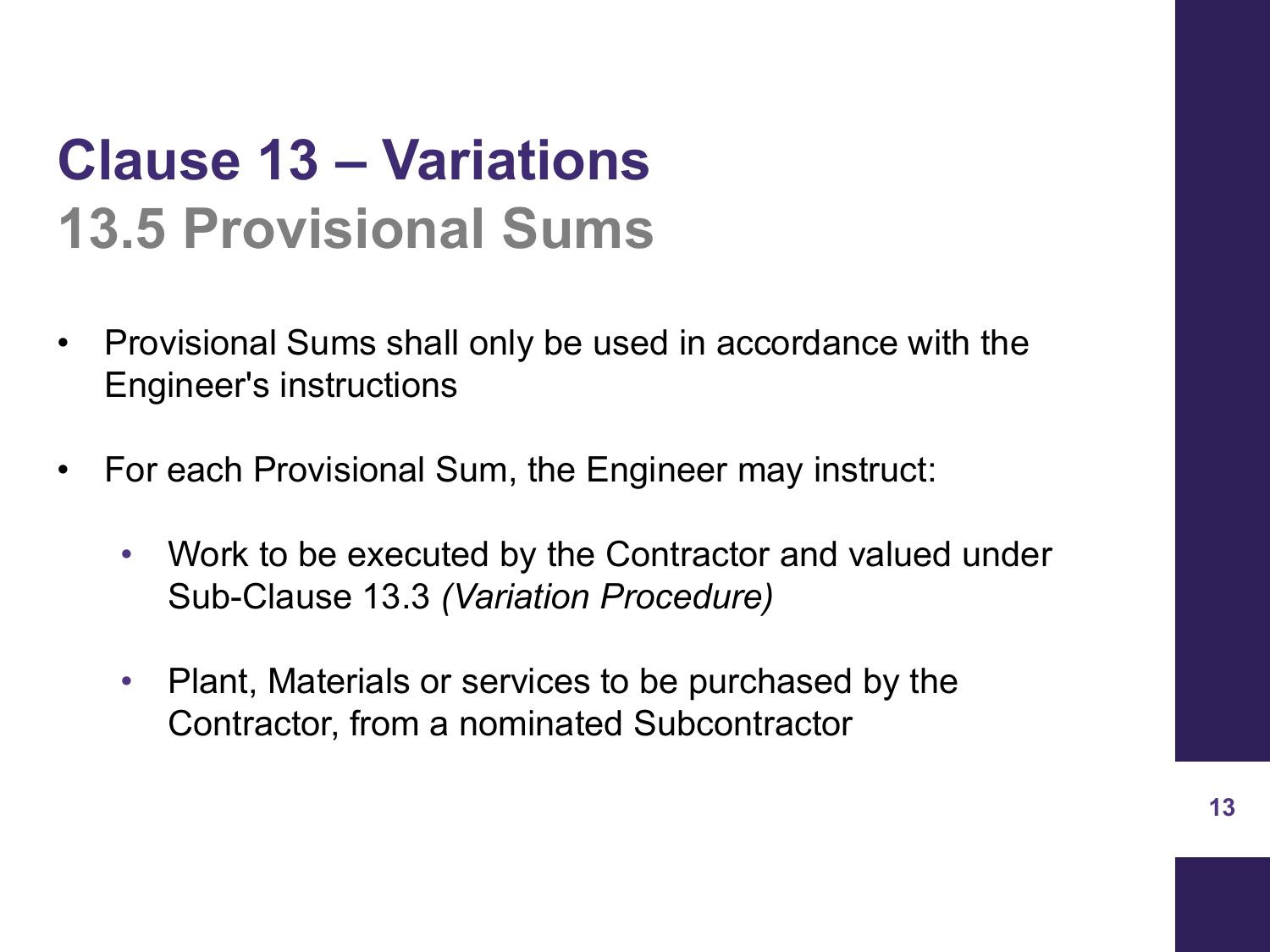### **Clause 13 – Variations 13.5 Provisional Sums**

- Provisional Sums shall only be used in accordance with the Engineer's instructions
- For each Provisional Sum, the Engineer may instruct:
	- Work to be executed by the Contractor and valued under Sub-Clause 13.3 *(Variation Procedure)*
	- Plant, Materials or services to be purchased by the Contractor, from a nominated Subcontractor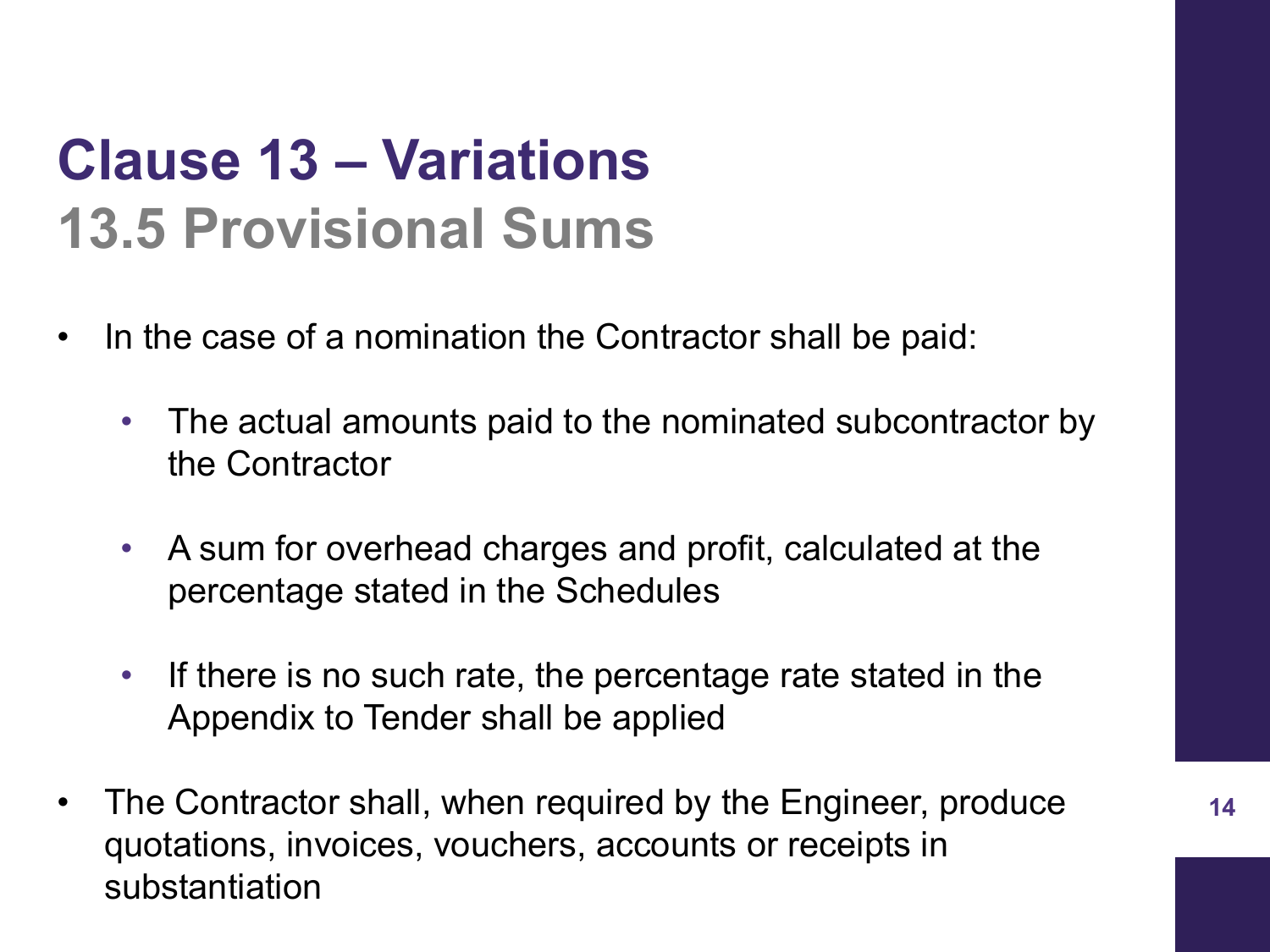#### **Clause 13 – Variations 13.5 Provisional Sums**

- In the case of a nomination the Contractor shall be paid:
	- The actual amounts paid to the nominated subcontractor by the Contractor
	- A sum for overhead charges and profit, calculated at the percentage stated in the Schedules
	- If there is no such rate, the percentage rate stated in the Appendix to Tender shall be applied
- The Contractor shall, when required by the Engineer, produce quotations, invoices, vouchers, accounts or receipts in substantiation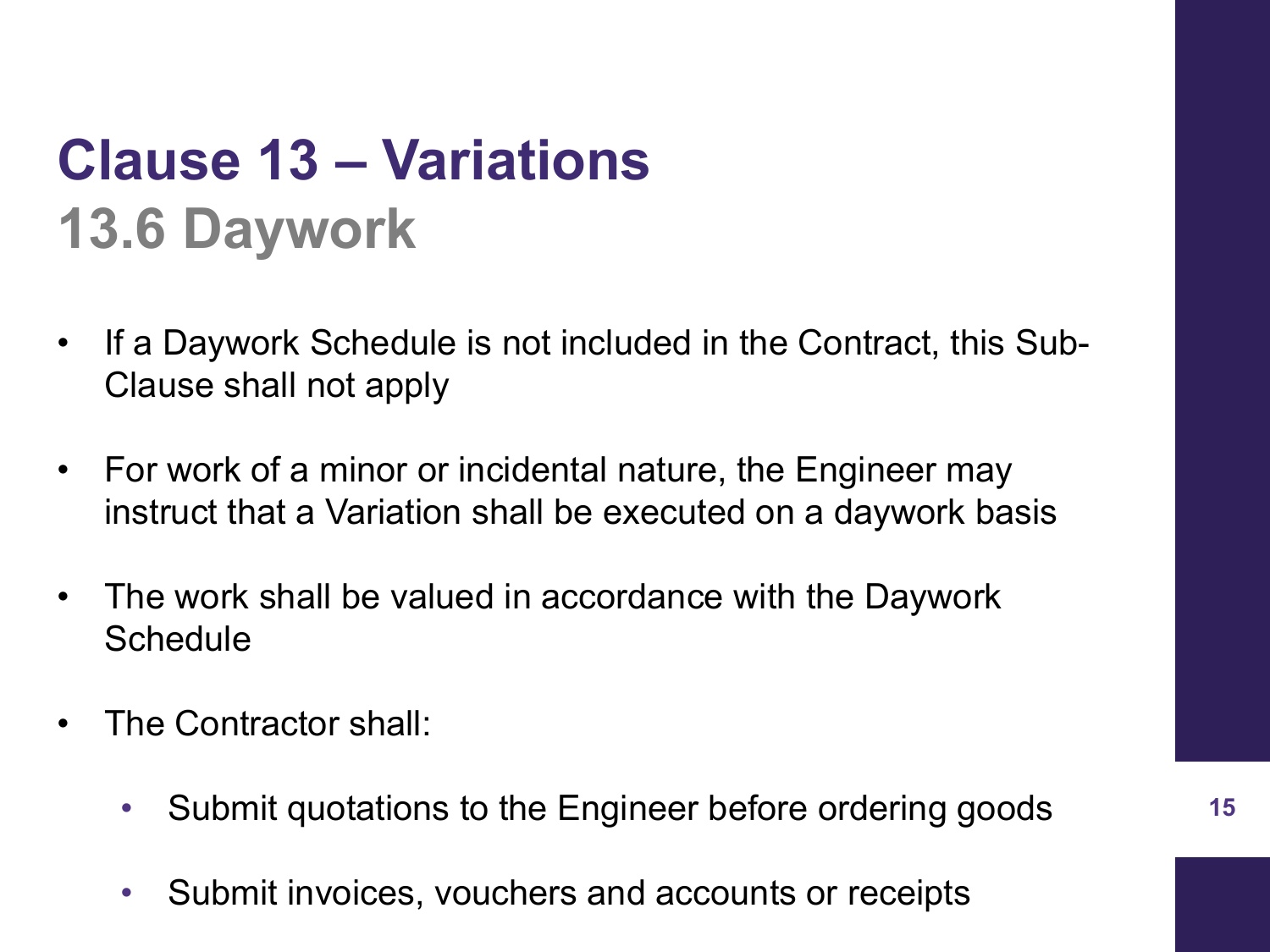### **Clause 13 – Variations 13.6 Daywork**

- If a Daywork Schedule is not included in the Contract, this Sub-Clause shall not apply
- For work of a minor or incidental nature, the Engineer may instruct that a Variation shall be executed on a daywork basis
- The work shall be valued in accordance with the Daywork **Schedule**
- The Contractor shall:
	- Submit quotations to the Engineer before ordering goods
	- Submit invoices, vouchers and accounts or receipts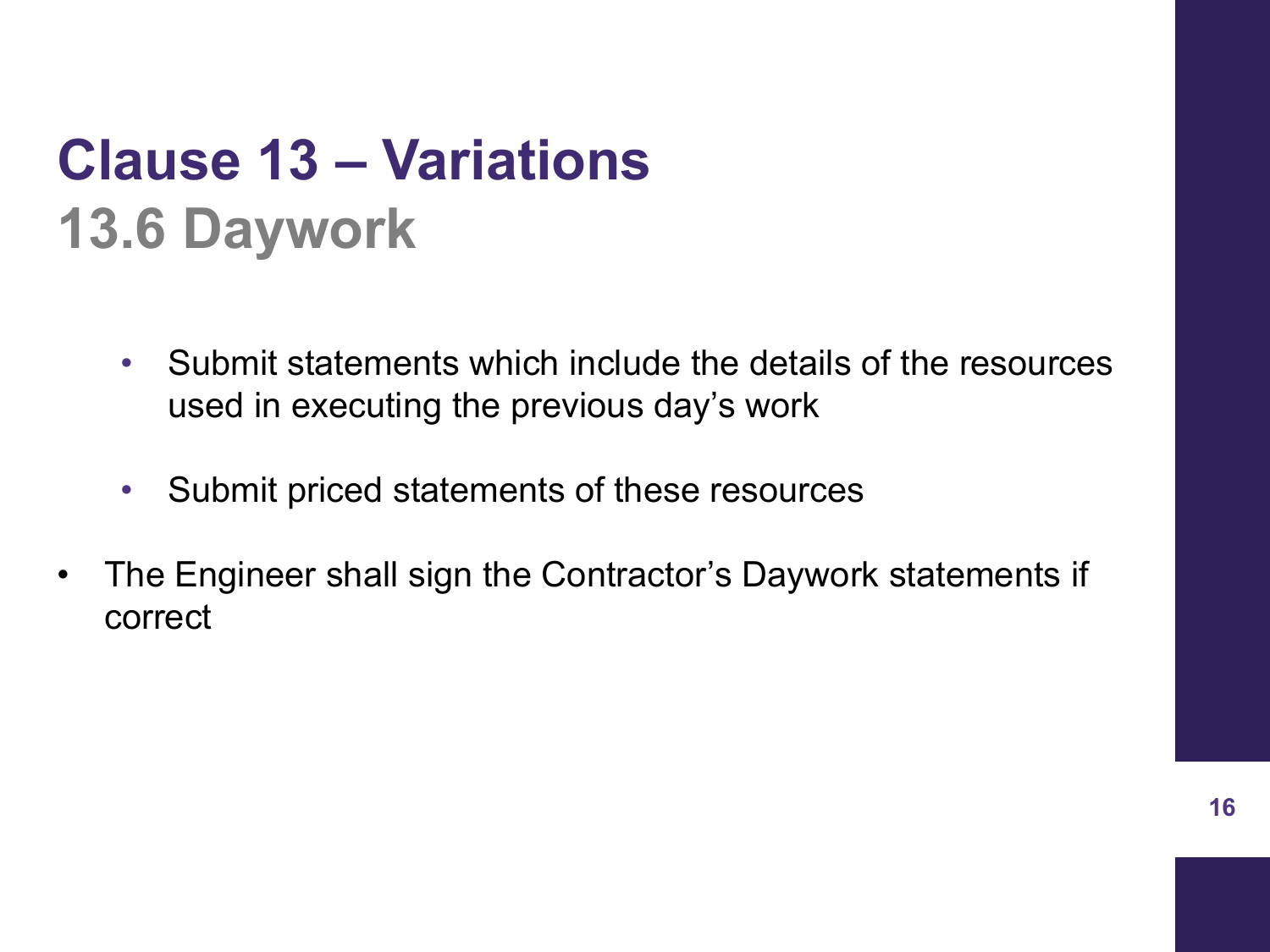### **Clause 13 – Variations 13.6 Daywork**

- Submit statements which include the details of the resources used in executing the previous day's work
- Submit priced statements of these resources
- The Engineer shall sign the Contractor's Daywork statements if correct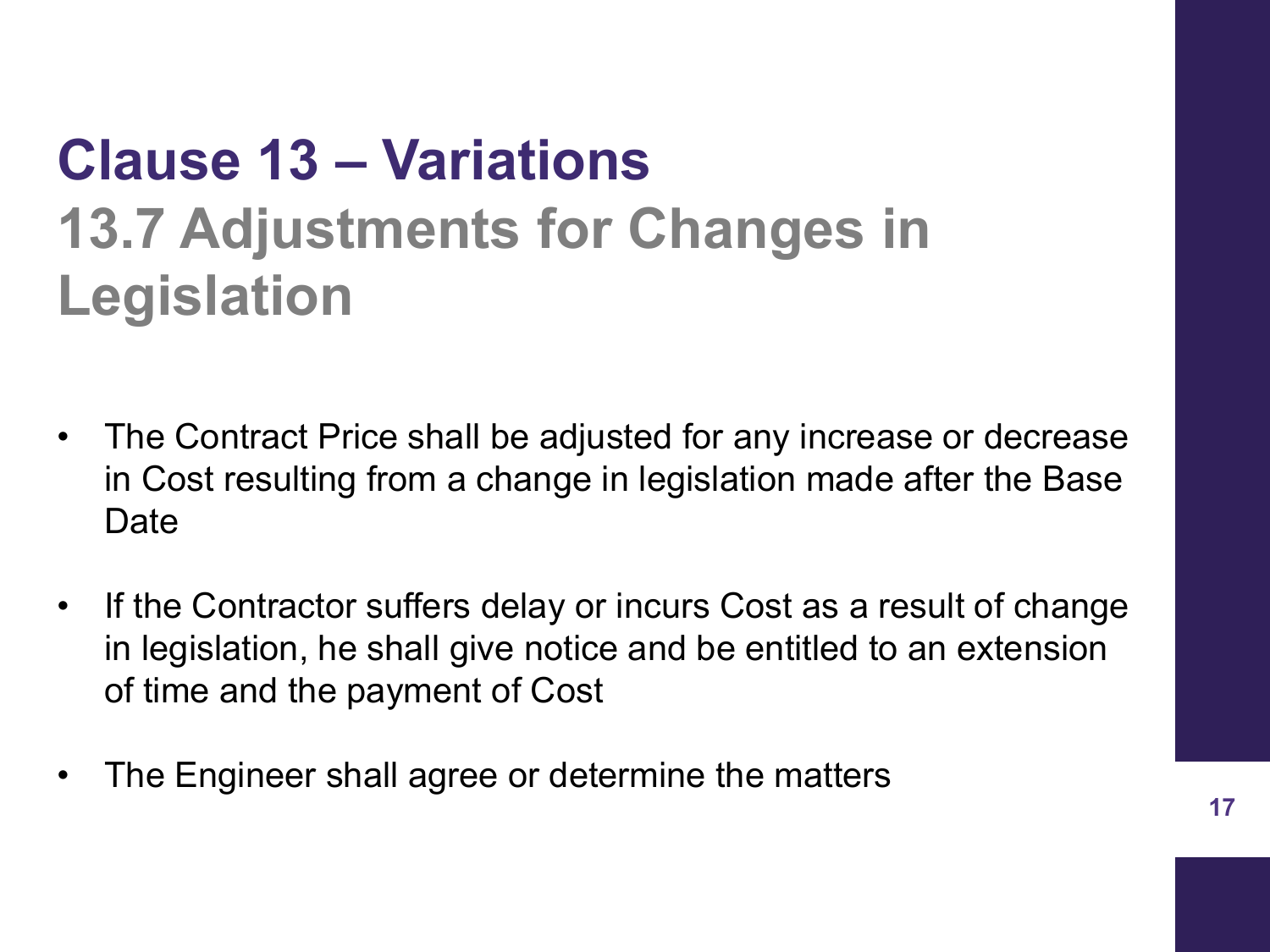## **Clause 13 – Variations 13.7 Adjustments for Changes in Legislation**

- The Contract Price shall be adjusted for any increase or decrease in Cost resulting from a change in legislation made after the Base **Date**
- If the Contractor suffers delay or incurs Cost as a result of change in legislation, he shall give notice and be entitled to an extension of time and the payment of Cost
- The Engineer shall agree or determine the matters